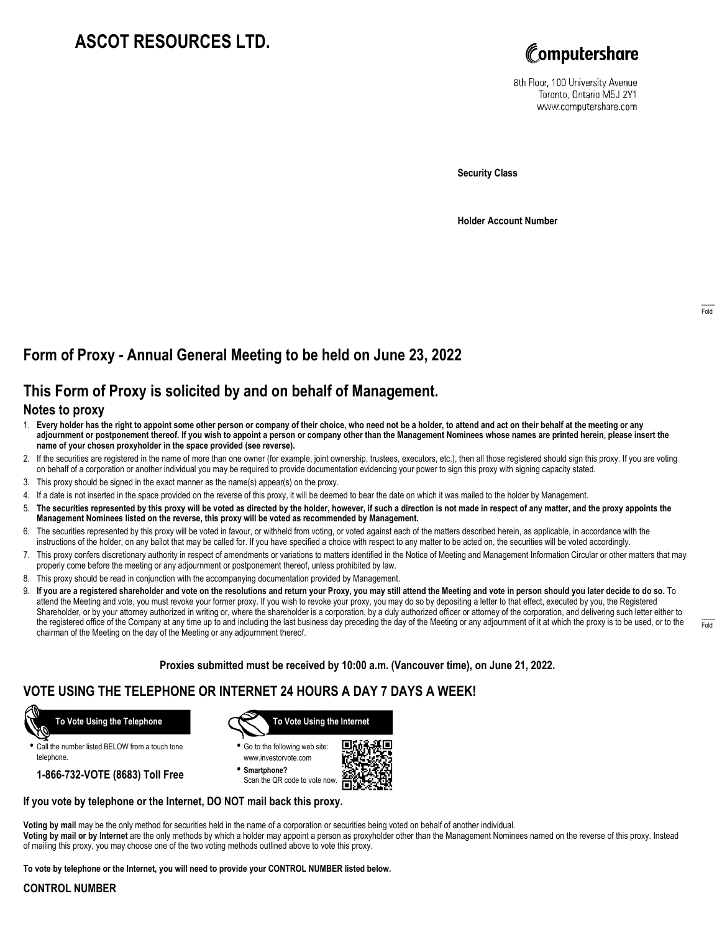# **ASCOT RESOURCES LTD.**



8th Floor, 100 University Avenue Toronto, Ontario M5J 2Y1 www.computershare.com

**Security Class**

**Holder Account Number**

## **Form of Proxy - Annual General Meeting to be held on June 23, 2022**

### **This Form of Proxy is solicited by and on behalf of Management.**

### **Notes to proxy**

- 1. **Every holder has the right to appoint some other person or company of their choice, who need not be a holder, to attend and act on their behalf at the meeting or any adjournment or postponement thereof. If you wish to appoint a person or company other than the Management Nominees whose names are printed herein, please insert the name of your chosen proxyholder in the space provided (see reverse).**
- 2. If the securities are registered in the name of more than one owner (for example, joint ownership, trustees, executors, etc.), then all those registered should sign this proxy. If you are voting on behalf of a corporation or another individual you may be required to provide documentation evidencing your power to sign this proxy with signing capacity stated.
- 3. This proxy should be signed in the exact manner as the name(s) appear(s) on the proxy.
- 4. If a date is not inserted in the space provided on the reverse of this proxy, it will be deemed to bear the date on which it was mailed to the holder by Management.
- 5. **The securities represented by this proxy will be voted as directed by the holder, however, if such a direction is not made in respect of any matter, and the proxy appoints the Management Nominees listed on the reverse, this proxy will be voted as recommended by Management.**
- 6. The securities represented by this proxy will be voted in favour, or withheld from voting, or voted against each of the matters described herein, as applicable, in accordance with the instructions of the holder, on any ballot that may be called for. If you have specified a choice with respect to any matter to be acted on, the securities will be voted accordingly.
- 7. This proxy confers discretionary authority in respect of amendments or variations to matters identified in the Notice of Meeting and Management Information Circular or other matters that may properly come before the meeting or any adjournment or postponement thereof, unless prohibited by law.
- 8. This proxy should be read in conjunction with the accompanying documentation provided by Management.
- 9. **If you are a registered shareholder and vote on the resolutions and return your Proxy, you may still attend the Meeting and vote in person should you later decide to do so.** To attend the Meeting and vote, you must revoke your former proxy. If you wish to revoke your proxy, you may do so by depositing a letter to that effect, executed by you, the Registered Shareholder, or by your attorney authorized in writing or, where the shareholder is a corporation, by a duly authorized officer or attorney of the corporation, and delivering such letter either to the registered office of the Company at any time up to and including the last business day preceding the day of the Meeting or any adjournment of it at which the proxy is to be used, or to the chairman of the Meeting on the day of the Meeting or any adjournment thereof.

**Proxies submitted must be received by 10:00 a.m. (Vancouver time), on June 21, 2022.**

### **VOTE USING THE TELEPHONE OR INTERNET 24 HOURS A DAY 7 DAYS A WEEK!**



**•** Call the number listed BELOW from a touch tone telephone.

**1-866-732-VOTE (8683) Toll Free**



**•** Go to the following web site: www.investorvote.com

**• Smartphone?** Scan the QR code to vote now.



#### **If you vote by telephone or the Internet, DO NOT mail back this proxy.**

**Voting by mail** may be the only method for securities held in the name of a corporation or securities being voted on behalf of another individual.

**Voting by mail or by Internet** are the only methods by which a holder may appoint a person as proxyholder other than the Management Nominees named on the reverse of this proxy. Instead of mailing this proxy, you may choose one of the two voting methods outlined above to vote this proxy.

**To vote by telephone or the Internet, you will need to provide your CONTROL NUMBER listed below.**

#### **CONTROL NUMBER**